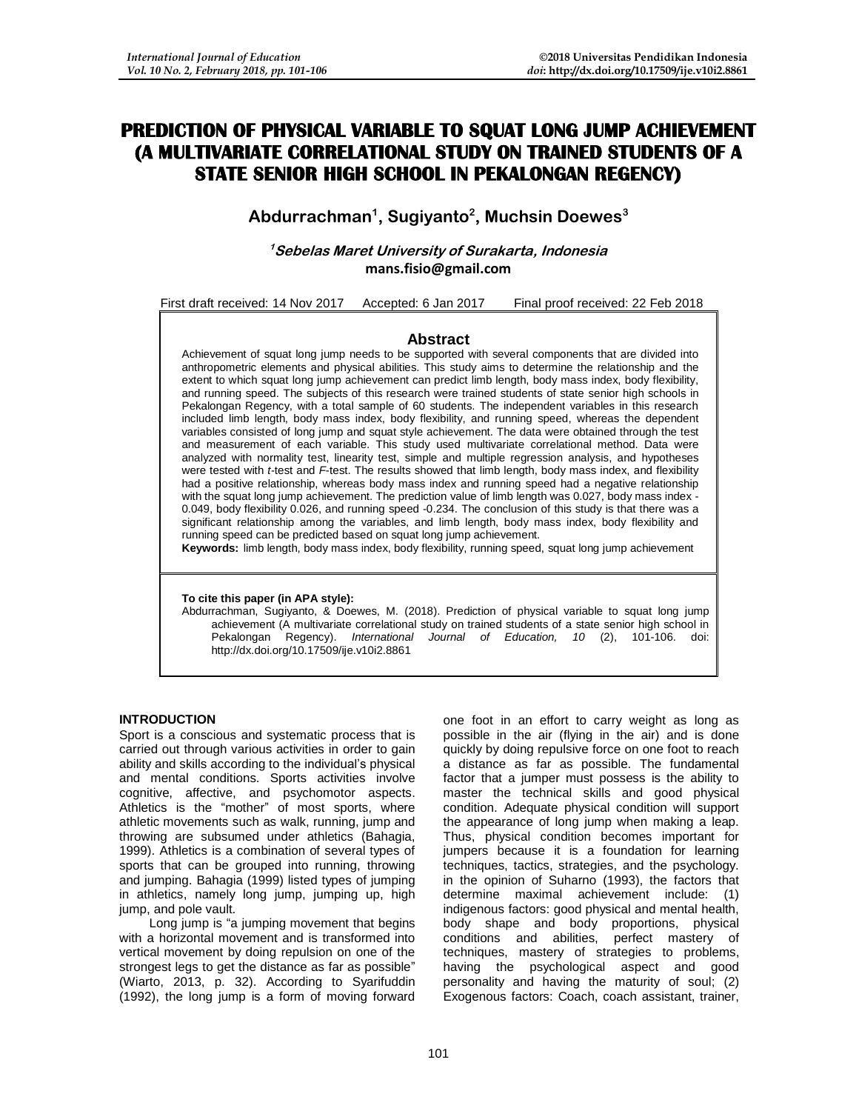# **PREDICTION OF PHYSICAL VARIABLE TO SQUAT LONG JUMP ACHIEVEMENT (A MULTIVARIATE CORRELATIONAL STUDY ON TRAINED STUDENTS OF A STATE SENIOR HIGH SCHOOL IN PEKALONGAN REGENCY)**

**Abdurrachman<sup>1</sup> , Sugiyanto<sup>2</sup> , Muchsin Doewes<sup>3</sup>**

**<sup>1</sup>Sebelas Maret University of Surakarta, Indonesia mans.fisio@gmail.com**

First draft received: 14 Nov 2017 Accepted: 6 Jan 2017 Final proof received: 22 Feb 2018

# **Abstract**

Achievement of squat long jump needs to be supported with several components that are divided into anthropometric elements and physical abilities. This study aims to determine the relationship and the extent to which squat long jump achievement can predict limb length, body mass index, body flexibility, and running speed. The subjects of this research were trained students of state senior high schools in Pekalongan Regency, with a total sample of 60 students. The independent variables in this research included limb length, body mass index, body flexibility, and running speed, whereas the dependent variables consisted of long jump and squat style achievement. The data were obtained through the test and measurement of each variable. This study used multivariate correlational method. Data were analyzed with normality test, linearity test, simple and multiple regression analysis, and hypotheses were tested with *t*-test and *F*-test. The results showed that limb length, body mass index, and flexibility had a positive relationship, whereas body mass index and running speed had a negative relationship with the squat long jump achievement. The prediction value of limb length was 0.027, body mass index -0.049, body flexibility 0.026, and running speed -0.234. The conclusion of this study is that there was a significant relationship among the variables, and limb length, body mass index, body flexibility and running speed can be predicted based on squat long jump achievement.

**Keywords:** limb length, body mass index, body flexibility, running speed, squat long jump achievement

**To cite this paper (in APA style):**

Abdurrachman, Sugiyanto, & Doewes, M. (2018). Prediction of physical variable to squat long jump achievement (A multivariate correlational study on trained students of a state senior high school in Pekalongan Regency). *International Journal of Education, 10* (2), 101-106. doi: http://dx.doi.org/10.17509/ije.v10i2.8861

## **INTRODUCTION**

Sport is a conscious and systematic process that is carried out through various activities in order to gain ability and skills according to the individual's physical and mental conditions. Sports activities involve cognitive, affective, and psychomotor aspects. Athletics is the "mother" of most sports, where athletic movements such as walk, running, jump and throwing are subsumed under athletics (Bahagia, 1999). Athletics is a combination of several types of sports that can be grouped into running, throwing and jumping. Bahagia (1999) listed types of jumping in athletics, namely long jump, jumping up, high jump, and pole vault.

Long jump is "a jumping movement that begins with a horizontal movement and is transformed into vertical movement by doing repulsion on one of the strongest legs to get the distance as far as possible" (Wiarto, 2013, p. 32). According to Syarifuddin (1992), the long jump is a form of moving forward one foot in an effort to carry weight as long as possible in the air (flying in the air) and is done quickly by doing repulsive force on one foot to reach a distance as far as possible. The fundamental factor that a jumper must possess is the ability to master the technical skills and good physical condition. Adequate physical condition will support the appearance of long jump when making a leap. Thus, physical condition becomes important for jumpers because it is a foundation for learning techniques, tactics, strategies, and the psychology. in the opinion of Suharno (1993), the factors that determine maximal achievement include: (1) indigenous factors: good physical and mental health, body shape and body proportions, physical conditions and abilities, perfect mastery of techniques, mastery of strategies to problems, having the psychological aspect and good personality and having the maturity of soul; (2) Exogenous factors: Coach, coach assistant, trainer,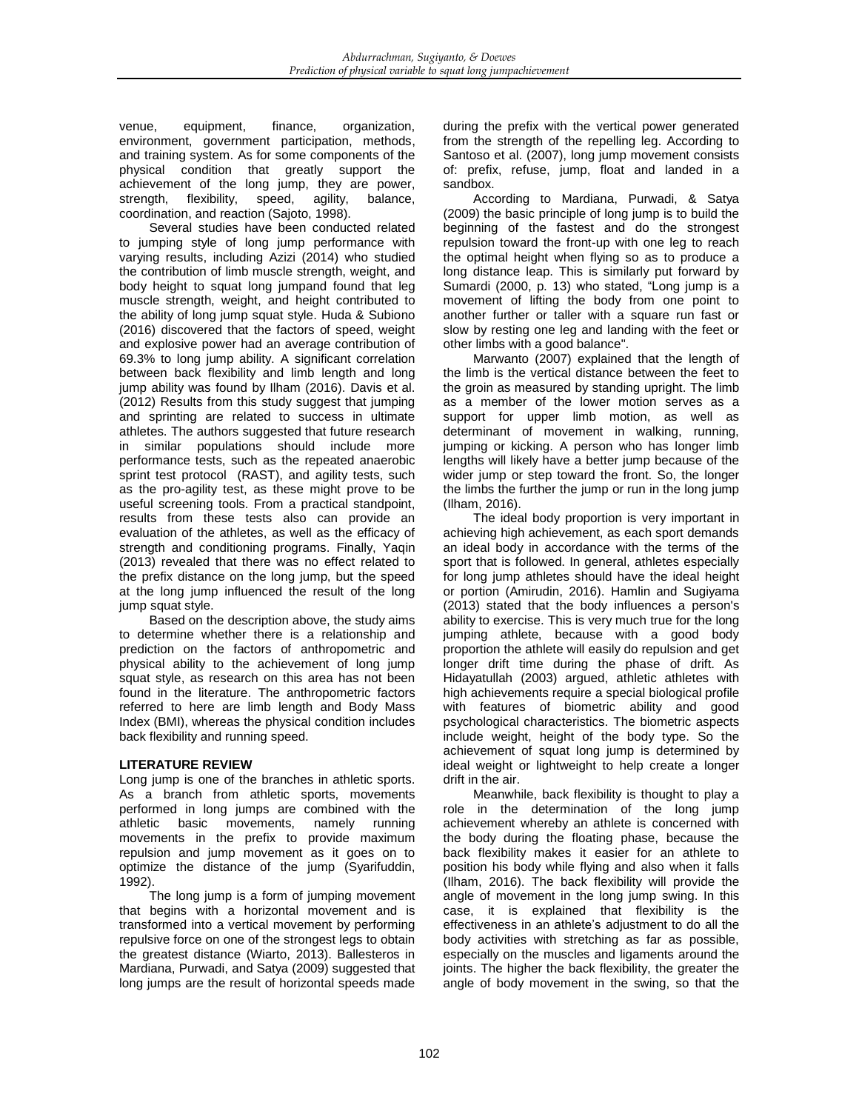venue, equipment, finance, organization, environment, government participation, methods, and training system. As for some components of the physical condition that greatly support the achievement of the long jump, they are power, strength, flexibility, speed, agility, balance, coordination, and reaction (Sajoto, 1998).

Several studies have been conducted related to jumping style of long jump performance with varying results, including Azizi (2014) who studied the contribution of limb muscle strength, weight, and body height to squat long jumpand found that leg muscle strength, weight, and height contributed to the ability of long jump squat style. Huda & Subiono (2016) discovered that the factors of speed, weight and explosive power had an average contribution of 69.3% to long jump ability. A significant correlation between back flexibility and limb length and long jump ability was found by Ilham (2016). Davis et al. (2012) Results from this study suggest that jumping and sprinting are related to success in ultimate athletes. The authors suggested that future research in similar populations should include more performance tests, such as the repeated anaerobic sprint test protocol (RAST), and agility tests, such as the pro-agility test, as these might prove to be useful screening tools. From a practical standpoint, results from these tests also can provide an evaluation of the athletes, as well as the efficacy of strength and conditioning programs. Finally, Yaqin (2013) revealed that there was no effect related to the prefix distance on the long jump, but the speed at the long jump influenced the result of the long jump squat style.

Based on the description above, the study aims to determine whether there is a relationship and prediction on the factors of anthropometric and physical ability to the achievement of long jump squat style, as research on this area has not been found in the literature. The anthropometric factors referred to here are limb length and Body Mass Index (BMI), whereas the physical condition includes back flexibility and running speed.

# **LITERATURE REVIEW**

Long jump is one of the branches in athletic sports. As a branch from athletic sports, movements performed in long jumps are combined with the<br>athletic basic movements, namely running athletic basic movements, namely running movements in the prefix to provide maximum repulsion and jump movement as it goes on to optimize the distance of the jump (Syarifuddin, 1992).

The long jump is a form of jumping movement that begins with a horizontal movement and is transformed into a vertical movement by performing repulsive force on one of the strongest legs to obtain the greatest distance (Wiarto, 2013). Ballesteros in Mardiana, Purwadi, and Satya (2009) suggested that long jumps are the result of horizontal speeds made during the prefix with the vertical power generated from the strength of the repelling leg. According to Santoso et al. (2007), long jump movement consists of: prefix, refuse, jump, float and landed in a sandbox.

According to Mardiana, Purwadi, & Satya (2009) the basic principle of long jump is to build the beginning of the fastest and do the strongest repulsion toward the front-up with one leg to reach the optimal height when flying so as to produce a long distance leap. This is similarly put forward by Sumardi (2000, p. 13) who stated, "Long jump is a movement of lifting the body from one point to another further or taller with a square run fast or slow by resting one leg and landing with the feet or other limbs with a good balance".

Marwanto (2007) explained that the length of the limb is the vertical distance between the feet to the groin as measured by standing upright. The limb as a member of the lower motion serves as a support for upper limb motion, as well as determinant of movement in walking, running, jumping or kicking. A person who has longer limb lengths will likely have a better jump because of the wider jump or step toward the front. So, the longer the limbs the further the jump or run in the long jump (Ilham, 2016).

The ideal body proportion is very important in achieving high achievement, as each sport demands an ideal body in accordance with the terms of the sport that is followed. In general, athletes especially for long jump athletes should have the ideal height or portion (Amirudin, 2016). Hamlin and Sugiyama (2013) stated that the body influences a person's ability to exercise. This is very much true for the long jumping athlete, because with a good body proportion the athlete will easily do repulsion and get longer drift time during the phase of drift. As Hidayatullah (2003) argued, athletic athletes with high achievements require a special biological profile with features of biometric ability and good psychological characteristics. The biometric aspects include weight, height of the body type. So the achievement of squat long jump is determined by ideal weight or lightweight to help create a longer drift in the air.

Meanwhile, back flexibility is thought to play a role in the determination of the long jump achievement whereby an athlete is concerned with the body during the floating phase, because the back flexibility makes it easier for an athlete to position his body while flying and also when it falls (Ilham, 2016). The back flexibility will provide the angle of movement in the long jump swing. In this case, it is explained that flexibility is the effectiveness in an athlete's adjustment to do all the body activities with stretching as far as possible, especially on the muscles and ligaments around the joints. The higher the back flexibility, the greater the angle of body movement in the swing, so that the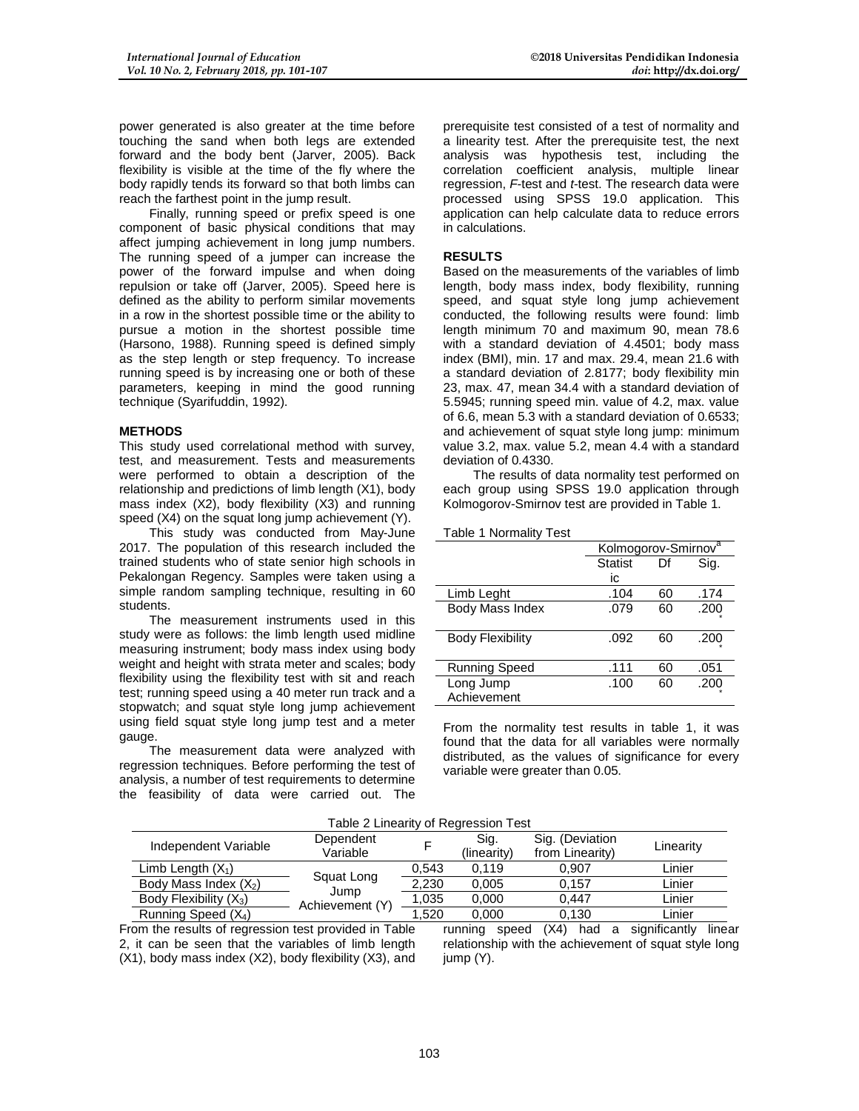power generated is also greater at the time before touching the sand when both legs are extended forward and the body bent (Jarver, 2005). Back flexibility is visible at the time of the fly where the body rapidly tends its forward so that both limbs can reach the farthest point in the jump result.

Finally, running speed or prefix speed is one component of basic physical conditions that may affect jumping achievement in long jump numbers. The running speed of a jumper can increase the power of the forward impulse and when doing repulsion or take off (Jarver, 2005). Speed here is defined as the ability to perform similar movements in a row in the shortest possible time or the ability to pursue a motion in the shortest possible time (Harsono, 1988). Running speed is defined simply as the step length or step frequency. To increase running speed is by increasing one or both of these parameters, keeping in mind the good running technique (Syarifuddin, 1992).

#### **METHODS**

This study used correlational method with survey, test, and measurement. Tests and measurements were performed to obtain a description of the relationship and predictions of limb length (X1), body mass index (X2), body flexibility (X3) and running speed (X4) on the squat long jump achievement (Y).

This study was conducted from May-June 2017. The population of this research included the trained students who of state senior high schools in Pekalongan Regency. Samples were taken using a simple random sampling technique, resulting in 60 students.

The measurement instruments used in this study were as follows: the limb length used midline measuring instrument; body mass index using body weight and height with strata meter and scales; body flexibility using the flexibility test with sit and reach test; running speed using a 40 meter run track and a stopwatch; and squat style long jump achievement using field squat style long jump test and a meter gauge.

The measurement data were analyzed with regression techniques. Before performing the test of analysis, a number of test requirements to determine the feasibility of data were carried out. The prerequisite test consisted of a test of normality and a linearity test. After the prerequisite test, the next analysis was hypothesis test, including the correlation coefficient analysis, multiple linear regression, *F*-test and *t*-test. The research data were processed using SPSS 19.0 application. This application can help calculate data to reduce errors in calculations.

## **RESULTS**

Based on the measurements of the variables of limb length, body mass index, body flexibility, running speed, and squat style long jump achievement conducted, the following results were found: limb length minimum 70 and maximum 90, mean 78.6 with a standard deviation of 4.4501; body mass index (BMI), min. 17 and max. 29.4, mean 21.6 with a standard deviation of 2.8177; body flexibility min 23, max. 47, mean 34.4 with a standard deviation of 5.5945; running speed min. value of 4.2, max. value of 6.6, mean 5.3 with a standard deviation of 0.6533; and achievement of squat style long jump: minimum value 3.2, max. value 5.2, mean 4.4 with a standard deviation of 0.4330.

The results of data normality test performed on each group using SPSS 19.0 application through Kolmogorov-Smirnov test are provided in Table 1.

#### Table 1 Normality Test

|                         | Kolmogorov-Smirnov <sup>a</sup> |    |      |  |
|-------------------------|---------------------------------|----|------|--|
|                         | <b>Statist</b>                  | Df | Sig. |  |
|                         | ic                              |    |      |  |
| Limb Leght              | .104                            | 60 | .174 |  |
| Body Mass Index         | .079                            | 60 | .200 |  |
|                         |                                 |    |      |  |
| <b>Body Flexibility</b> | .092                            | 60 | .200 |  |
|                         |                                 |    |      |  |
| <b>Running Speed</b>    | .111                            | 60 | .051 |  |
| Long Jump               | .100                            | 60 | .200 |  |
| Achievement             |                                 |    |      |  |

From the normality test results in table 1, it was found that the data for all variables were normally distributed, as the values of significance for every variable were greater than 0.05.

| Table 2 Linearity of Regression Test |                         |       |                     |                                    |           |  |
|--------------------------------------|-------------------------|-------|---------------------|------------------------------------|-----------|--|
| Independent Variable                 | Dependent<br>Variable   |       | Sig.<br>(linearity) | Sig. (Deviation<br>from Linearity) | Linearity |  |
| Limb Length $(X_1)$                  | Squat Long              | 0,543 | 0.119               | 0.907                              | Linier    |  |
| Body Mass Index $(X_2)$              |                         | 2,230 | 0.005               | 0.157                              | Linier    |  |
| Body Flexibility (X <sub>3</sub> )   | Jump<br>Achievement (Y) | 1,035 | 0.000               | 0.447                              | ∟inier    |  |
| Running Speed $(X_4)$                |                         | 1.520 | 0.000               | 0.130                              | Linier    |  |

From the results of regression test provided in Table 2, it can be seen that the variables of limb length (X1), body mass index (X2), body flexibility (X3), and running speed (X4) had a significantly linear relationship with the achievement of squat style long jump (Y).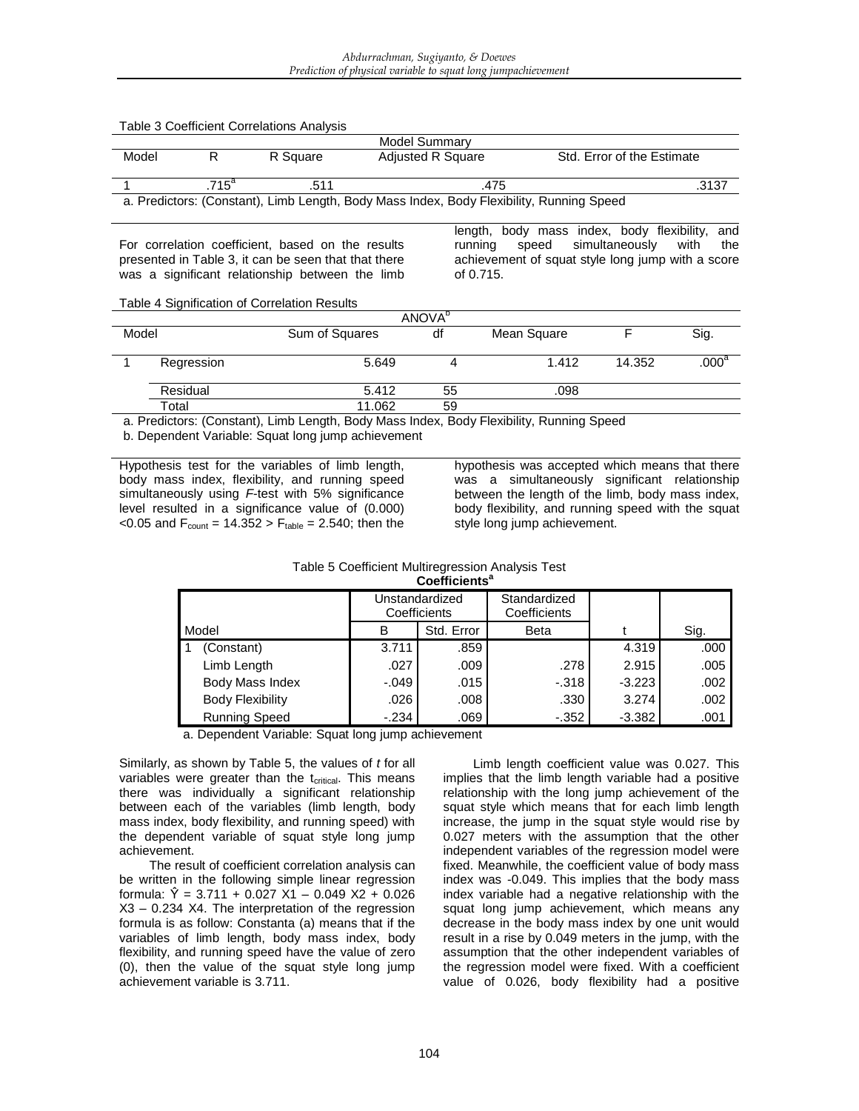|       |               | Table 3 Coefficient Correlations Analysis | Model Summary                                                                            |                                        |                            |       |
|-------|---------------|-------------------------------------------|------------------------------------------------------------------------------------------|----------------------------------------|----------------------------|-------|
| Model |               | R Square                                  | <b>Adjusted R Square</b>                                                                 |                                        | Std. Error of the Estimate |       |
|       | $715^{\circ}$ | 511                                       | .475                                                                                     |                                        |                            | .3137 |
|       |               |                                           | a. Predictors: (Constant), Limb Length, Body Mass Index, Body Flexibility, Running Speed |                                        |                            |       |
|       |               |                                           | lenath.                                                                                  | body mass index, body flexibility, and |                            |       |

For correlation coefficient, based on the results presented in Table 3, it can be seen that that there was a significant relationship between the limb running speed simultaneously with the achievement of squat style long jump with a score of 0.715.

#### Table 4 Signification of Correlation Results

| <b>ANOVA</b> <sup>D</sup> |            |                |    |             |        |                   |  |
|---------------------------|------------|----------------|----|-------------|--------|-------------------|--|
| Model                     |            | Sum of Squares | df | Mean Square |        | Sig.              |  |
|                           | Regression | 5.649          |    | 1.412       | 14.352 | .000 <sup>a</sup> |  |
|                           | Residual   | 5.412          | 55 | .098        |        |                   |  |
|                           | Total      | 11.062         | 59 |             |        |                   |  |

a. Predictors: (Constant), Limb Length, Body Mass Index, Body Flexibility, Running Speed

b. Dependent Variable: Squat long jump achievement

Hypothesis test for the variables of limb length, body mass index, flexibility, and running speed simultaneously using *F*-test with 5% significance level resulted in a significance value of (0.000) <0.05 and  $F_{\text{count}} = 14.352 > F_{\text{table}} = 2.540$ ; then the hypothesis was accepted which means that there was a simultaneously significant relationship between the length of the limb, body mass index, body flexibility, and running speed with the squat style long jump achievement.

| COPILICIENTS            |                                |            |                              |          |      |  |  |
|-------------------------|--------------------------------|------------|------------------------------|----------|------|--|--|
|                         | Unstandardized<br>Coefficients |            | Standardized<br>Coefficients |          |      |  |  |
| Model                   | в                              | Std. Error | <b>Beta</b>                  |          | Sig. |  |  |
| (Constant)              | 3.711                          | .859       |                              | 4.319    | .000 |  |  |
| Limb Length             | .027                           | .009       | .278                         | 2.915    | .005 |  |  |
| Body Mass Index         | $-.049$                        | .015       | $-.318$                      | $-3.223$ | .002 |  |  |
| <b>Body Flexibility</b> | .026                           | .008       | .330                         | 3.274    | .002 |  |  |
| <b>Running Speed</b>    | $-234$                         | .069       | $-0.352$                     | $-3.382$ | .001 |  |  |

Table 5 Coefficient Multiregression Analysis Test **Coefficients<sup>a</sup>**

a. Dependent Variable: Squat long jump achievement

Similarly, as shown by Table 5, the values of *t* for all variables were greater than the  $t_{critical}$ . This means there was individually a significant relationship between each of the variables (limb length, body mass index, body flexibility, and running speed) with the dependent variable of squat style long jump achievement.

The result of coefficient correlation analysis can be written in the following simple linear regression formula:  $\hat{Y} = 3.711 + 0.027 \text{ X1} - 0.049 \text{ X2} + 0.026$ X3 – 0.234 X4. The interpretation of the regression formula is as follow: Constanta (a) means that if the variables of limb length, body mass index, body flexibility, and running speed have the value of zero (0), then the value of the squat style long jump achievement variable is 3.711.

Limb length coefficient value was 0.027. This implies that the limb length variable had a positive relationship with the long jump achievement of the squat style which means that for each limb length increase, the jump in the squat style would rise by 0.027 meters with the assumption that the other independent variables of the regression model were fixed. Meanwhile, the coefficient value of body mass index was -0.049. This implies that the body mass index variable had a negative relationship with the squat long jump achievement, which means any decrease in the body mass index by one unit would result in a rise by 0.049 meters in the jump, with the assumption that the other independent variables of the regression model were fixed. With a coefficient value of 0.026, body flexibility had a positive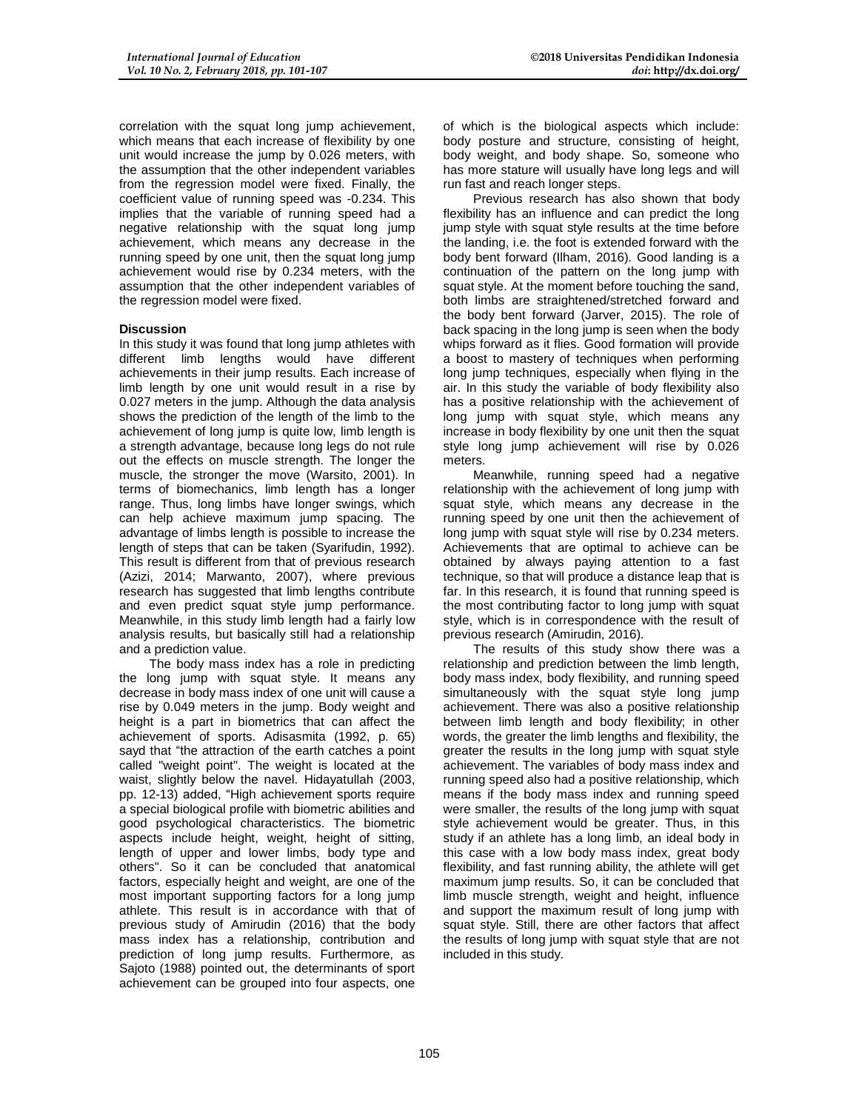correlation with the squat long jump achievement. which means that each increase of flexibility by one unit would increase the jump by 0.026 meters, with the assumption that the other independent variables from the regression model were fixed. Finally, the coefficient value of running speed was -0.234. This implies that the variable of running speed had a negative relationship with the squat long jump achievement, which means any decrease in the running speed by one unit, then the squat long jump achievement would rise by 0.234 meters, with the assumption that the other independent variables of the regression model were fixed.

## **Discussion**

In this study it was found that long jump athletes with different limb lengths would have different achievements in their jump results. Each increase of limb length by one unit would result in a rise by 0.027 meters in the jump. Although the data analysis shows the prediction of the length of the limb to the achievement of long jump is quite low, limb length is a strength advantage, because long legs do not rule out the effects on muscle strength. The longer the muscle, the stronger the move (Warsito, 2001). In terms of biomechanics, limb length has a longer range. Thus, long limbs have longer swings, which can help achieve maximum jump spacing. The advantage of limbs length is possible to increase the length of steps that can be taken (Syarifudin, 1992). This result is different from that of previous research (Azizi, 2014; Marwanto, 2007), where previous research has suggested that limb lengths contribute and even predict squat style jump performance. Meanwhile, in this study limb length had a fairly low analysis results, but basically still had a relationship and a prediction value.

The body mass index has a role in predicting the long jump with squat style. It means any decrease in body mass index of one unit will cause a rise by 0.049 meters in the jump. Body weight and height is a part in biometrics that can affect the achievement of sports. Adisasmita (1992, p. 65) sayd that "the attraction of the earth catches a point called "weight point". The weight is located at the waist, slightly below the navel. Hidayatullah (2003, pp. 12-13) added, "High achievement sports require a special biological profile with biometric abilities and good psychological characteristics. The biometric aspects include height, weight, height of sitting, length of upper and lower limbs, body type and others". So it can be concluded that anatomical factors, especially height and weight, are one of the most important supporting factors for a long jump athlete. This result is in accordance with that of previous study of Amirudin (2016) that the body mass index has a relationship, contribution and prediction of long jump results. Furthermore, as Sajoto (1988) pointed out, the determinants of sport achievement can be grouped into four aspects, one

of which is the biological aspects which include: body posture and structure, consisting of height, body weight, and body shape. So, someone who has more stature will usually have long legs and will run fast and reach longer steps.

Previous research has also shown that body flexibility has an influence and can predict the long jump style with squat style results at the time before the landing, i.e. the foot is extended forward with the body bent forward (Ilham, 2016). Good landing is a continuation of the pattern on the long jump with squat style. At the moment before touching the sand, both limbs are straightened/stretched forward and the body bent forward (Jarver, 2015). The role of back spacing in the long jump is seen when the body whips forward as it flies. Good formation will provide a boost to mastery of techniques when performing long jump techniques, especially when flying in the air. In this study the variable of body flexibility also has a positive relationship with the achievement of long jump with squat style, which means any increase in body flexibility by one unit then the squat style long jump achievement will rise by 0.026 meters.

Meanwhile, running speed had a negative relationship with the achievement of long jump with squat style, which means any decrease in the running speed by one unit then the achievement of long jump with squat style will rise by 0.234 meters. Achievements that are optimal to achieve can be obtained by always paying attention to a fast technique, so that will produce a distance leap that is far. In this research, it is found that running speed is the most contributing factor to long jump with squat style, which is in correspondence with the result of previous research (Amirudin, 2016).

The results of this study show there was a relationship and prediction between the limb length, body mass index, body flexibility, and running speed simultaneously with the squat style long jump achievement. There was also a positive relationship between limb length and body flexibility; in other words, the greater the limb lengths and flexibility, the greater the results in the long jump with squat style achievement. The variables of body mass index and running speed also had a positive relationship, which means if the body mass index and running speed were smaller, the results of the long jump with squat style achievement would be greater. Thus, in this study if an athlete has a long limb, an ideal body in this case with a low body mass index, great body flexibility, and fast running ability, the athlete will get maximum jump results. So, it can be concluded that limb muscle strength, weight and height, influence and support the maximum result of long jump with squat style. Still, there are other factors that affect the results of long jump with squat style that are not included in this study.